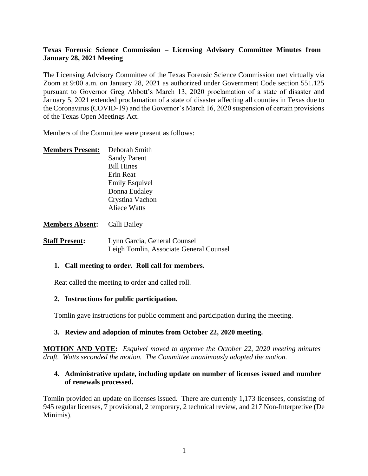# **Texas Forensic Science Commission – Licensing Advisory Committee Minutes from January 28, 2021 Meeting**

The Licensing Advisory Committee of the Texas Forensic Science Commission met virtually via Zoom at 9:00 a.m. on January 28, 2021 as authorized under Government Code section 551.125 pursuant to Governor Greg Abbott's March 13, 2020 proclamation of a state of disaster and January 5, 2021 extended proclamation of a state of disaster affecting all counties in Texas due to the Coronavirus (COVID-19) and the Governor's March 16, 2020 suspension of certain provisions of the Texas Open Meetings Act.

Members of the Committee were present as follows:

| <b>Members Present:</b> | Deborah Smith         |
|-------------------------|-----------------------|
|                         | <b>Sandy Parent</b>   |
|                         | <b>Bill Hines</b>     |
|                         | Erin Reat             |
|                         | <b>Emily Esquivel</b> |
|                         | Donna Eudaley         |
|                         | Crystina Vachon       |
|                         | Aliece Watts          |
|                         |                       |
| <b>Members Absent:</b>  | Calli Bailey          |

**Staff Present:** Lynn Garcia, General Counsel Leigh Tomlin, Associate General Counsel

#### **1. Call meeting to order. Roll call for members.**

Reat called the meeting to order and called roll.

#### **2. Instructions for public participation.**

Tomlin gave instructions for public comment and participation during the meeting.

# **3. Review and adoption of minutes from October 22, 2020 meeting.**

**MOTION AND VOTE:** *Esquivel moved to approve the October 22, 2020 meeting minutes draft. Watts seconded the motion. The Committee unanimously adopted the motion.*

# **4. Administrative update, including update on number of licenses issued and number of renewals processed.**

Tomlin provided an update on licenses issued. There are currently 1,173 licensees, consisting of 945 regular licenses, 7 provisional, 2 temporary, 2 technical review, and 217 Non-Interpretive (De Minimis).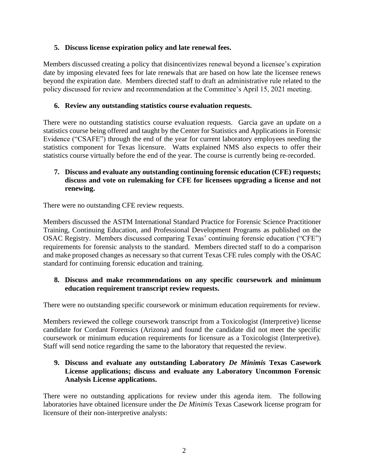# **5. Discuss license expiration policy and late renewal fees.**

Members discussed creating a policy that disincentivizes renewal beyond a licensee's expiration date by imposing elevated fees for late renewals that are based on how late the licensee renews beyond the expiration date. Members directed staff to draft an administrative rule related to the policy discussed for review and recommendation at the Committee's April 15, 2021 meeting.

#### **6. Review any outstanding statistics course evaluation requests.**

There were no outstanding statistics course evaluation requests. Garcia gave an update on a statistics course being offered and taught by the Center for Statistics and Applications in Forensic Evidence ("CSAFE") through the end of the year for current laboratory employees needing the statistics component for Texas licensure. Watts explained NMS also expects to offer their statistics course virtually before the end of the year. The course is currently being re-recorded.

# **7. Discuss and evaluate any outstanding continuing forensic education (CFE) requests; discuss and vote on rulemaking for CFE for licensees upgrading a license and not renewing.**

There were no outstanding CFE review requests.

Members discussed the ASTM International Standard Practice for Forensic Science Practitioner Training, Continuing Education, and Professional Development Programs as published on the OSAC Registry. Members discussed comparing Texas' continuing forensic education ("CFE") requirements for forensic analysts to the standard. Members directed staff to do a comparison and make proposed changes as necessary so that current Texas CFE rules comply with the OSAC standard for continuing forensic education and training.

# **8. Discuss and make recommendations on any specific coursework and minimum education requirement transcript review requests.**

There were no outstanding specific coursework or minimum education requirements for review.

Members reviewed the college coursework transcript from a Toxicologist (Interpretive) license candidate for Cordant Forensics (Arizona) and found the candidate did not meet the specific coursework or minimum education requirements for licensure as a Toxicologist (Interpretive). Staff will send notice regarding the same to the laboratory that requested the review.

## **9. Discuss and evaluate any outstanding Laboratory** *De Minimis* **Texas Casework License applications; discuss and evaluate any Laboratory Uncommon Forensic Analysis License applications.**

There were no outstanding applications for review under this agenda item. The following laboratories have obtained licensure under the *De Minimis* Texas Casework license program for licensure of their non-interpretive analysts: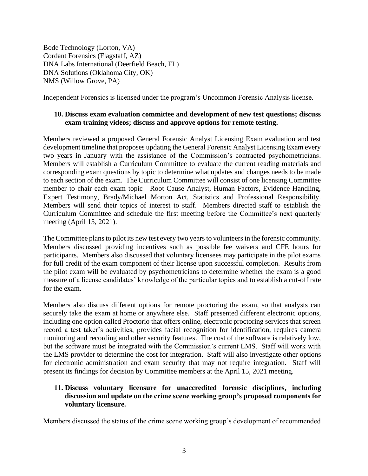Bode Technology (Lorton, VA) Cordant Forensics (Flagstaff, AZ) DNA Labs International (Deerfield Beach, FL) DNA Solutions (Oklahoma City, OK) NMS (Willow Grove, PA)

Independent Forensics is licensed under the program's Uncommon Forensic Analysis license.

## **10. Discuss exam evaluation committee and development of new test questions; discuss exam training videos; discuss and approve options for remote testing.**

Members reviewed a proposed General Forensic Analyst Licensing Exam evaluation and test development timeline that proposes updating the General Forensic Analyst Licensing Exam every two years in January with the assistance of the Commission's contracted psychometricians. Members will establish a Curriculum Committee to evaluate the current reading materials and corresponding exam questions by topic to determine what updates and changes needs to be made to each section of the exam. The Curriculum Committee will consist of one licensing Committee member to chair each exam topic—Root Cause Analyst, Human Factors, Evidence Handling, Expert Testimony, Brady/Michael Morton Act, Statistics and Professional Responsibility. Members will send their topics of interest to staff. Members directed staff to establish the Curriculum Committee and schedule the first meeting before the Committee's next quarterly meeting (April 15, 2021).

The Committee plans to pilot its new test every two years to volunteers in the forensic community. Members discussed providing incentives such as possible fee waivers and CFE hours for participants. Members also discussed that voluntary licensees may participate in the pilot exams for full credit of the exam component of their license upon successful completion. Results from the pilot exam will be evaluated by psychometricians to determine whether the exam is a good measure of a license candidates' knowledge of the particular topics and to establish a cut-off rate for the exam.

Members also discuss different options for remote proctoring the exam, so that analysts can securely take the exam at home or anywhere else. Staff presented different electronic options, including one option called Proctorio that offers online, electronic proctoring services that screen record a test taker's activities, provides facial recognition for identification, requires camera monitoring and recording and other security features. The cost of the software is relatively low, but the software must be integrated with the Commission's current LMS. Staff will work with the LMS provider to determine the cost for integration. Staff will also investigate other options for electronic administration and exam security that may not require integration. Staff will present its findings for decision by Committee members at the April 15, 2021 meeting.

## **11. Discuss voluntary licensure for unaccredited forensic disciplines, including discussion and update on the crime scene working group's proposed components for voluntary licensure.**

Members discussed the status of the crime scene working group's development of recommended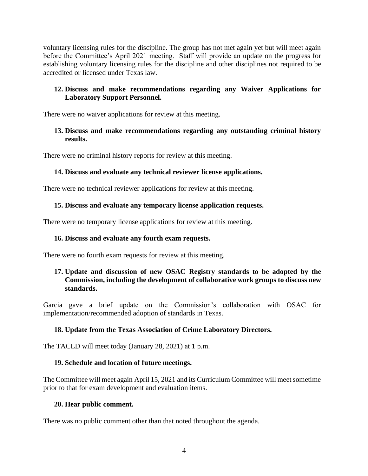voluntary licensing rules for the discipline. The group has not met again yet but will meet again before the Committee's April 2021 meeting. Staff will provide an update on the progress for establishing voluntary licensing rules for the discipline and other disciplines not required to be accredited or licensed under Texas law.

## **12. Discuss and make recommendations regarding any Waiver Applications for Laboratory Support Personnel.**

There were no waiver applications for review at this meeting.

## **13. Discuss and make recommendations regarding any outstanding criminal history results.**

There were no criminal history reports for review at this meeting.

# **14. Discuss and evaluate any technical reviewer license applications.**

There were no technical reviewer applications for review at this meeting.

# **15. Discuss and evaluate any temporary license application requests.**

There were no temporary license applications for review at this meeting.

#### **16. Discuss and evaluate any fourth exam requests.**

There were no fourth exam requests for review at this meeting.

# **17. Update and discussion of new OSAC Registry standards to be adopted by the Commission, including the development of collaborative work groups to discuss new standards.**

Garcia gave a brief update on the Commission's collaboration with OSAC for implementation/recommended adoption of standards in Texas.

# **18. Update from the Texas Association of Crime Laboratory Directors.**

The TACLD will meet today (January 28, 2021) at 1 p.m.

#### **19. Schedule and location of future meetings.**

The Committee will meet again April 15, 2021 and its Curriculum Committee will meet sometime prior to that for exam development and evaluation items.

# **20. Hear public comment.**

There was no public comment other than that noted throughout the agenda.